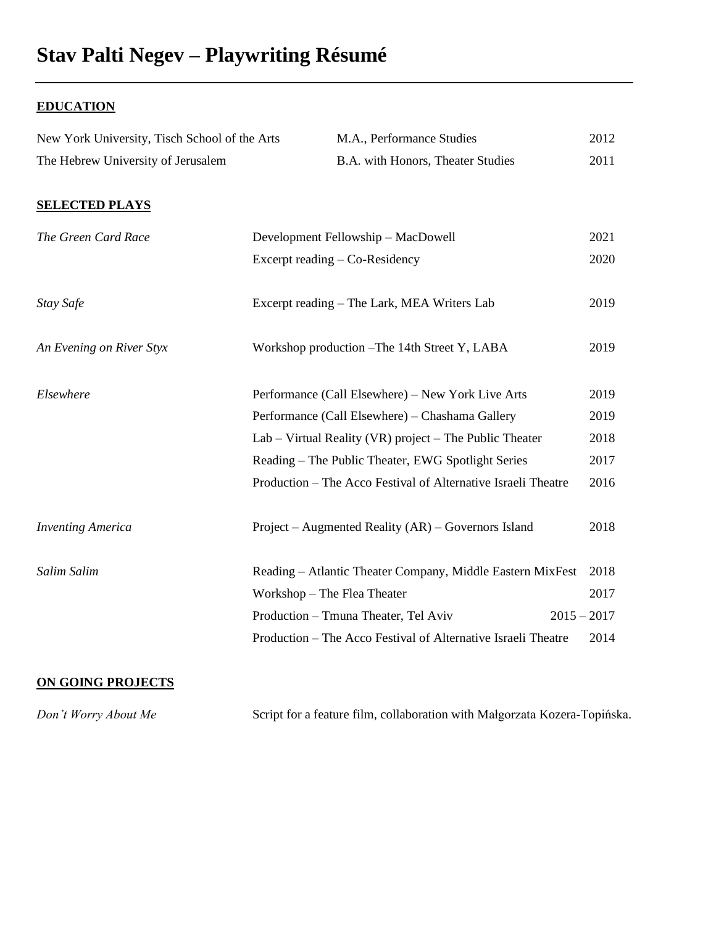## **Stav Palti Negev – Playwriting Résumé**

## **EDUCATION**

| New York University, Tisch School of the Arts<br>M.A., Performance Studies | 2012 |
|----------------------------------------------------------------------------|------|
| B.A. with Honors, Theater Studies                                          | 2011 |
|                                                                            |      |
| Development Fellowship - MacDowell                                         | 2021 |
| Excerpt reading – Co-Residency                                             | 2020 |
| Excerpt reading – The Lark, MEA Writers Lab                                | 2019 |
| Workshop production – The 14th Street Y, LABA                              | 2019 |
| Performance (Call Elsewhere) – New York Live Arts                          | 2019 |
| Performance (Call Elsewhere) – Chashama Gallery                            | 2019 |
| $Lab - Virtual Reality (VR) project - The Public Theater$                  | 2018 |
| Reading – The Public Theater, EWG Spotlight Series                         | 2017 |
| Production – The Acco Festival of Alternative Israeli Theatre              | 2016 |
| Project - Augmented Reality (AR) - Governors Island                        | 2018 |
| Reading - Atlantic Theater Company, Middle Eastern MixFest                 | 2018 |
| Workshop - The Flea Theater                                                | 2017 |
| $2015 - 2017$<br>Production - Tmuna Theater, Tel Aviv                      |      |
| Production – The Acco Festival of Alternative Israeli Theatre              | 2014 |
|                                                                            |      |

## **ON GOING PROJECTS**

*Don't Worry About Me* Script for a feature film, collaboration with Małgorzata Kozera-Topińska.